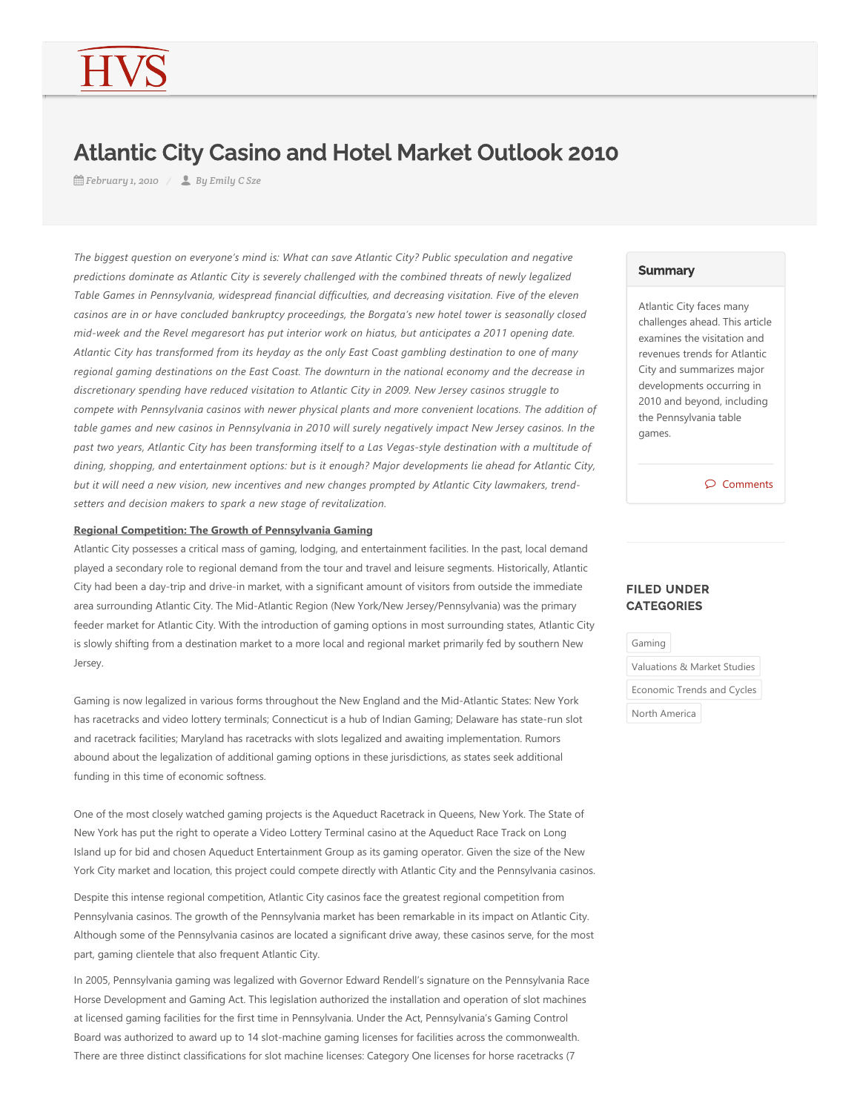# Atlantic City Casino and Hotel Market Outlook 2010

*February 1, 2010 By Emily C Sze*

*The biggest question on everyone's mind is: What can save Atlantic City? Public speculation and negative predictions dominate as Atlantic City is severely challenged with the combined threats of newly legalized Table Games in Pennsylvania, widespread financial difficulties, and decreasing visitation. Five of the eleven casinos are in or have concluded bankruptcy proceedings, the Borgata's new hotel tower is seasonally closed mid‐week and the Revel megaresort has put interior work on hiatus, but anticipates a 2011 opening date. Atlantic City has transformed from its heyday as the only East Coast gambling destination to one of many regional gaming destinations on the East Coast. The downturn in the national economy and the decrease in discretionary spending have reduced visitation to Atlantic City in 2009. New Jersey casinos struggle to compete with Pennsylvania casinos with newer physical plants and more convenient locations. The addition of table games and new casinos in Pennsylvania in 2010 will surely negatively impact New Jersey casinos. In the past two years, Atlantic City has been transforming itself to a Las Vegas‐style destination with a multitude of dining, shopping, and entertainment options: but is it enough? Major developments lie ahead for Atlantic City, but it will need a new vision, new incentives and new changes prompted by Atlantic City lawmakers, trend‐ setters and decision makers to spark a new stage of revitalization.*

## **Regional Competition: The Growth of Pennsylvania Gaming**

Atlantic City possesses a critical mass of gaming, lodging, and entertainment facilities. In the past, local demand played a secondary role to regional demand from the tour and travel and leisure segments. Historically, Atlantic City had been a day‐trip and drive‐in market, with a significant amount of visitors from outside the immediate area surrounding Atlantic City. The Mid-Atlantic Region (New York/New Jersey/Pennsylvania) was the primary feeder market for Atlantic City. With the introduction of gaming options in most surrounding states, Atlantic City is slowly shifting from a destination market to a more local and regional market primarily fed by southern New Jersey.

Gaming is now legalized in various forms throughout the New England and the Mid‐Atlantic States: New York has racetracks and video lottery terminals; Connecticut is a hub of Indian Gaming; Delaware has state-run slot and racetrack facilities; Maryland has racetracks with slots legalized and awaiting implementation. Rumors abound about the legalization of additional gaming options in these jurisdictions, as states seek additional funding in this time of economic softness.

One of the most closely watched gaming projects is the Aqueduct Racetrack in Queens, New York. The State of New York has put the right to operate a Video Lottery Terminal casino at the Aqueduct Race Track on Long Island up for bid and chosen Aqueduct Entertainment Group as its gaming operator. Given the size of the New York City market and location, this project could compete directly with Atlantic City and the Pennsylvania casinos.

Despite this intense regional competition, Atlantic City casinos face the greatest regional competition from Pennsylvania casinos. The growth of the Pennsylvania market has been remarkable in its impact on Atlantic City. Although some of the Pennsylvania casinos are located a significant drive away, these casinos serve, for the most part, gaming clientele that also frequent Atlantic City.

In 2005, Pennsylvania gaming was legalized with Governor Edward Rendell's signature on the Pennsylvania Race Horse Development and Gaming Act. This legislation authorized the installation and operation of slot machines at licensed gaming facilities for the first time in Pennsylvania. Under the Act, Pennsylvania's Gaming Control Board was authorized to award up to 14 slot‐machine gaming licenses for facilities across the commonwealth. There are three distinct classifications for slot machine licenses: Category One licenses for horse racetracks (7

#### **Summary**

Atlantic City faces many challenges ahead. This article examines the visitation and revenues trends for Atlantic City and summarizes major developments occurring in 2010 and beyond, including the Pennsylvania table games.

Comments

## FILED UNDER **CATEGORIES**

Gaming

Valuations & Market Studies

Economic Trends and Cycles

North America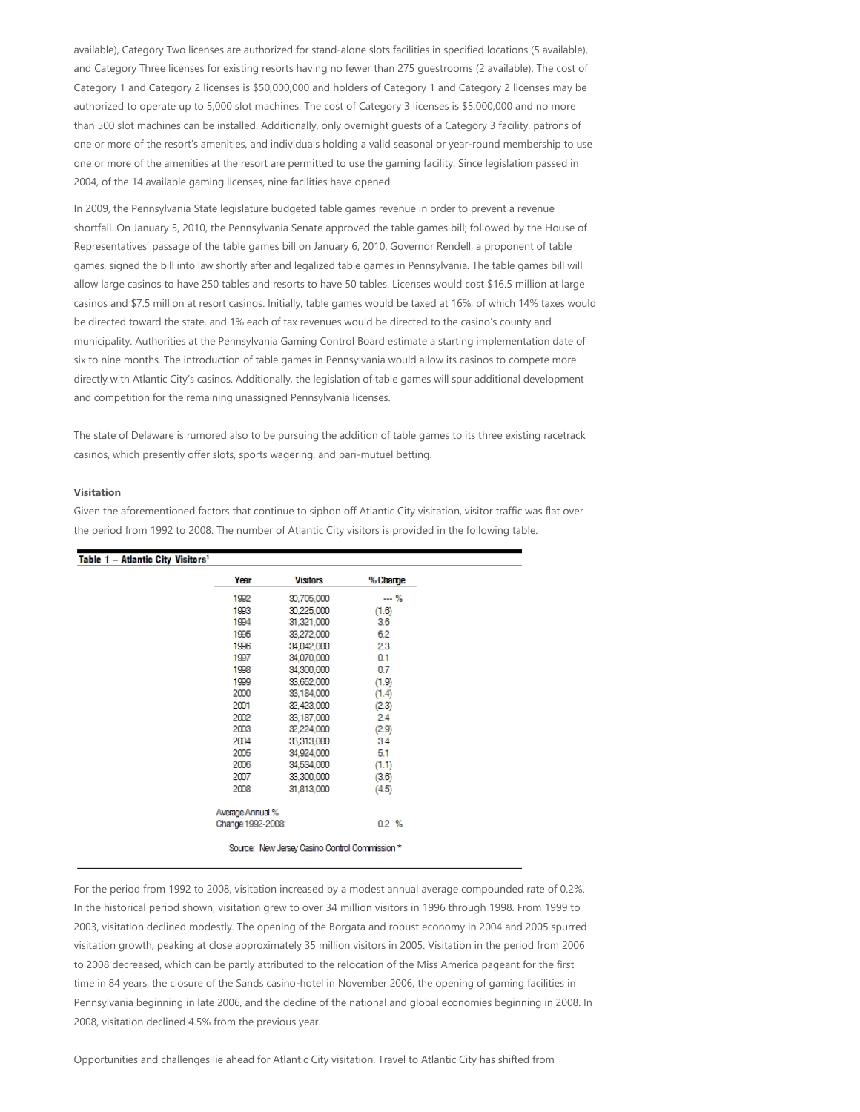available), Category Two licenses are authorized for stand-alone slots facilities in specified locations (5 available), and Category Three licenses for existing resorts having no fewer than 275 guestrooms (2 available). The cost of Category 1 and Category 2 licenses is \$50,000,000 and holders of Category 1 and Category 2 licenses may be authorized to operate up to 5,000 slot machines. The cost of Category 3 licenses is \$5,000,000 and no more than 500 slot machines can be installed. Additionally, only overnight guests of a Category 3 facility, patrons of one or more of the resort's amenities, and individuals holding a valid seasonal or year-round membership to use one or more of the amenities at the resort are permitted to use the gaming facility. Since legislation passed in 2004, of the 14 available gaming licenses, nine facilities have opened.

In 2009, the Pennsylvania State legislature budgeted table games revenue in order to prevent a revenue shortfall. On January 5, 2010, the Pennsylvania Senate approved the table games bill; followed by the House of Representatives' passage of the table games bill on January 6, 2010. Governor Rendell, a proponent of table games, signed the bill into law shortly after and legalized table games in Pennsylvania. The table games bill will allow large casinos to have 250 tables and resorts to have 50 tables. Licenses would cost \$16.5 million at large casinos and \$7.5 million at resort casinos. Initially, table games would be taxed at 16%, of which 14% taxes would be directed toward the state, and 1% each of tax revenues would be directed to the casino's county and municipality. Authorities at the Pennsylvania Gaming Control Board estimate a starting implementation date of six to nine months. The introduction of table games in Pennsylvania would allow its casinos to compete more directly with Atlantic City's casinos. Additionally, the legislation of table games will spur additional development and competition for the remaining unassigned Pennsylvania licenses.

The state of Delaware is rumored also to be pursuing the addition of table games to its three existing racetrack casinos, which presently offer slots, sports wagering, and pari‐mutuel betting.

## **Visitation**

Given the aforementioned factors that continue to siphon off Atlantic City visitation, visitor traffic was flat over the period from 1992 to 2008. The number of Atlantic City visitors is provided in the following table.

| Year              | <b>Visitors</b> | % Change |
|-------------------|-----------------|----------|
| 1992              | 30,705,000      | $-26$    |
| 1993              | 30.225,000      | (1.6)    |
| 1994              | 31,321,000      | 3.6      |
| 1995              | 33,272,000      | 6.2      |
| 1996              | 34.042.000      | 2.3      |
| 1997              | 34,070,000      | 0.1      |
| 1998              | 34,300,000      | 0.7      |
| 1999              | 33,652,000      | (1.9)    |
| 2000              | 33,184,000      | (1.4)    |
| 2001              | 32,423,000      | (2.3)    |
| 2002              | 33,187,000      | 2.4      |
| 2003              | 32,224,000      | (2.9)    |
| 2004              | 33,313,000      | 3.4      |
| 2005              | 34,924,000      | 5.1      |
| 2006              | 34,534,000      | (1.1)    |
| 2007              | 33,300,000      | (3.6)    |
| 2008              | 31,813,000      | (4.5)    |
| Average Annual %  |                 |          |
| Change 1992-2008: |                 | 0.2%     |

For the period from 1992 to 2008, visitation increased by a modest annual average compounded rate of 0.2%. In the historical period shown, visitation grew to over 34 million visitors in 1996 through 1998. From 1999 to 2003, visitation declined modestly. The opening of the Borgata and robust economy in 2004 and 2005 spurred visitation growth, peaking at close approximately 35 million visitors in 2005. Visitation in the period from 2006 to 2008 decreased, which can be partly attributed to the relocation of the Miss America pageant for the first time in 84 years, the closure of the Sands casino-hotel in November 2006, the opening of gaming facilities in Pennsylvania beginning in late 2006, and the decline of the national and global economies beginning in 2008. In 2008, visitation declined 4.5% from the previous year.

Opportunities and challenges lie ahead for Atlantic City visitation. Travel to Atlantic City has shifted from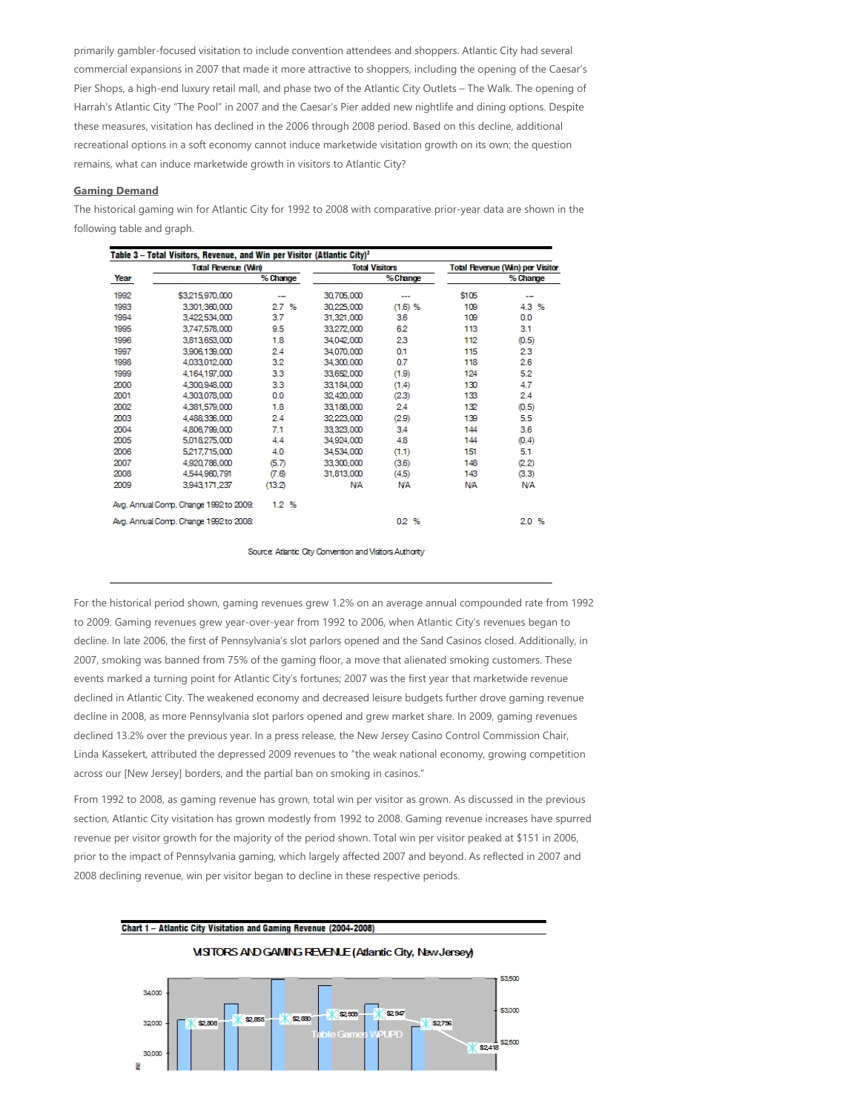primarily gambler‐focused visitation to include convention attendees and shoppers. Atlantic City had several commercial expansions in 2007 that made it more attractive to shoppers, including the opening of the Caesar's Pier Shops, a high-end luxury retail mall, and phase two of the Atlantic City Outlets – The Walk. The opening of Harrah's Atlantic City "The Pool" in 2007 and the Caesar's Pier added new nightlife and dining options. Despite these measures, visitation has declined in the 2006 through 2008 period. Based on this decline, additional recreational options in a soft economy cannot induce marketwide visitation growth on its own; the question remains, what can induce marketwide growth in visitors to Atlantic City?

## **Gaming Demand**

The historical gaming win for Atlantic City for 1992 to 2008 with comparative prior‐year data are shown in the following table and graph.

| Table 3 – Total Visitors, Revenue, and Win per Visitor (Atlantic City) <sup>2</sup> |                                        |          |                       |            |                                 |            |  |  |  |
|-------------------------------------------------------------------------------------|----------------------------------------|----------|-----------------------|------------|---------------------------------|------------|--|--|--|
|                                                                                     | <b>Total Revenue (Win)</b>             |          | <b>Total Visitors</b> |            | Total Revenue (Win) per Visitor |            |  |  |  |
| Year                                                                                |                                        | % Change |                       | % Change   | % Change                        |            |  |  |  |
| 1992                                                                                | \$3,215,970,000                        |          | 30,705,000            | ---        | \$105                           |            |  |  |  |
| 1993                                                                                | 3,301,360,000                          | 2.7%     | 30,225,000            | (1.6) %    | 109                             | 4.3%       |  |  |  |
| 1994                                                                                | 3,422,534,000                          | 3.7      | 31,321,000            | 3.6        | 109                             | 0.0        |  |  |  |
| 1995                                                                                | 3.747.578.000                          | 9.5      | 33,272,000            | 6.2        | 113                             | 3.1        |  |  |  |
| 1996                                                                                | 3,813,653,000                          | 1.8      | 34.042.000            | 2.3        | 112                             | (0.5)      |  |  |  |
| 1997                                                                                | 3.906.139.000                          | 2.4      | 34.070.000            | 0.1        | 115                             | 2.3        |  |  |  |
| 1998                                                                                | 4,033,012,000                          | 3.2      | 34,300,000            | 0.7        | 118                             | 2.6        |  |  |  |
| 1999                                                                                | 4.164.197.000                          | 3.3      | 33,652,000            | (1.9)      | 124                             | 5.2        |  |  |  |
| 2000                                                                                | 4.300.948.000                          | 3.3      | 33.184.000            | (1.4)      | 130                             | 4.7        |  |  |  |
| 2001                                                                                | 4,303,078,000                          | 0.0      | 32,420,000            | (2.3)      | 133                             | 2.4        |  |  |  |
| 2002                                                                                | 4,381,579,000                          | 1.8      | 33,188,000            | 2.4        | 132                             | (0.5)      |  |  |  |
| 2003                                                                                | 4,488,336,000                          | 2.4      | 32,223,000            | (2.9)      | 139                             | 5.5        |  |  |  |
| 2004                                                                                | 4,806,799,000                          | 7.1      | 33,323,000            | 3.4        | 144                             | 3.6        |  |  |  |
| 2005                                                                                | 5,018,275,000                          | 4.4      | 34,924,000            | 4.8        | 144                             | (0.4)      |  |  |  |
| 2006                                                                                | 5.217.715.000                          | 4.0      | 34,534,000            | (1.1)      | 151                             | 5.1        |  |  |  |
| 2007                                                                                | 4,920,786,000                          | (5.7)    | 33,300,000            | (3.6)      | 148                             | (2.2)      |  |  |  |
| 2008                                                                                | 4,544,960,791                          | (7.6)    | 31,813,000            | (4.5)      | 143                             | (3.3)      |  |  |  |
| 2009                                                                                | 3.943.171.237                          | (13.2)   | <b>N/A</b>            | <b>N/A</b> | <b>NA</b>                       | <b>N/A</b> |  |  |  |
|                                                                                     | Ava. Annual Comp. Change 1992 to 2009: | 1.2%     |                       |            |                                 |            |  |  |  |
|                                                                                     | Avg. Annual Comp. Change 1992 to 2008: |          |                       | 0.2%       |                                 | 2.0%       |  |  |  |

Source: Atlantic City Convention and Visitors Authority

For the historical period shown, gaming revenues grew 1.2% on an average annual compounded rate from 1992 to 2009. Gaming revenues grew year-over-year from 1992 to 2006, when Atlantic City's revenues began to decline. In late 2006, the first of Pennsylvania's slot parlors opened and the Sand Casinos closed. Additionally, in 2007, smoking was banned from 75% of the gaming floor, a move that alienated smoking customers. These events marked a turning point for Atlantic City's fortunes; 2007 was the first year that marketwide revenue declined in Atlantic City. The weakened economy and decreased leisure budgets further drove gaming revenue decline in 2008, as more Pennsylvania slot parlors opened and grew market share. In 2009, gaming revenues declined 13.2% over the previous year. In a press release, the New Jersey Casino Control Commission Chair, Linda Kassekert, attributed the depressed 2009 revenues to "the weak national economy, growing competition across our [New Jersey] borders, and the partial ban on smoking in casinos."

From 1992 to 2008, as gaming revenue has grown, total win per visitor as grown. As discussed in the previous section, Atlantic City visitation has grown modestly from 1992 to 2008. Gaming revenue increases have spurred revenue per visitor growth for the majority of the period shown. Total win per visitor peaked at \$151 in 2006, prior to the impact of Pennsylvania gaming, which largely affected 2007 and beyond. As reflected in 2007 and 2008 declining revenue, win per visitor began to decline in these respective periods.

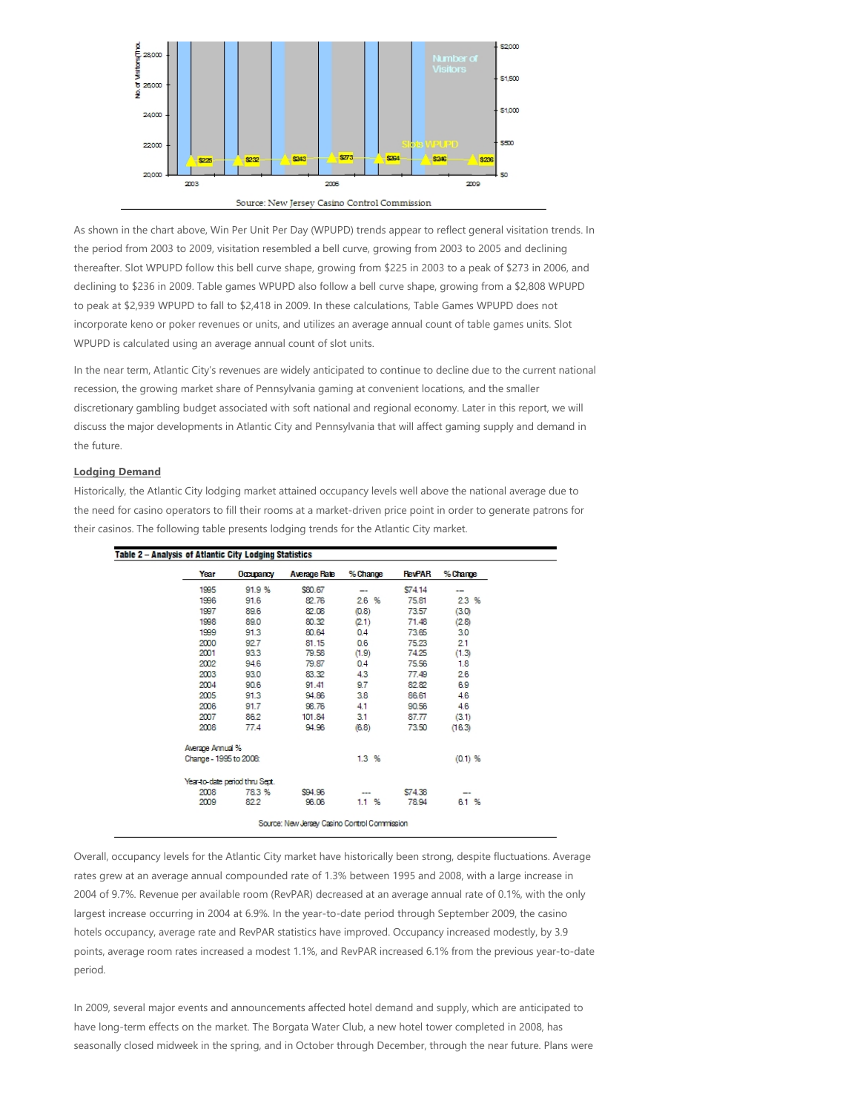

As shown in the chart above, Win Per Unit Per Day (WPUPD) trends appear to reflect general visitation trends. In the period from 2003 to 2009, visitation resembled a bell curve, growing from 2003 to 2005 and declining thereafter. Slot WPUPD follow this bell curve shape, growing from \$225 in 2003 to a peak of \$273 in 2006, and declining to \$236 in 2009. Table games WPUPD also follow a bell curve shape, growing from a \$2,808 WPUPD to peak at \$2,939 WPUPD to fall to \$2,418 in 2009. In these calculations, Table Games WPUPD does not incorporate keno or poker revenues or units, and utilizes an average annual count of table games units. Slot WPUPD is calculated using an average annual count of slot units.

In the near term, Atlantic City's revenues are widely anticipated to continue to decline due to the current national recession, the growing market share of Pennsylvania gaming at convenient locations, and the smaller discretionary gambling budget associated with soft national and regional economy. Later in this report, we will discuss the major developments in Atlantic City and Pennsylvania that will affect gaming supply and demand in the future.

## **Lodging Demand**

Historically, the Atlantic City lodging market attained occupancy levels well above the national average due to the need for casino operators to fill their rooms at a market-driven price point in order to generate patrons for their casinos. The following table presents lodging trends for the Atlantic City market.

| Year                   | Occupancy                      | <b>Average Rate</b> | % Change | <b>RevPAR</b> | % Change |
|------------------------|--------------------------------|---------------------|----------|---------------|----------|
| 1995                   | 91.9 %                         | \$80.67             |          | \$74.14       |          |
| 1996                   | 91.6                           | 82.76               | 26%      | 75.81         | 23%      |
| 1997                   | 89.6                           | 82.08               | (0.8)    | 73.57         | (3.0)    |
| 1998                   | 89.0                           | 80.32               | (2.1)    | 71.48         | (2.8)    |
| 1999                   | 91.3                           | 80.64               | 0.4      | 73.65         | 3.0      |
| 2000                   | 92.7                           | 81.15               | 0.6      | 75.23         | 2.1      |
| 2001                   | 93.3                           | 79.58               | (1.9)    | 74.25         | (1.3)    |
| 2002                   | 94.6                           | 79.87               | 0.4      | 75.56         | 1.8      |
| 2003                   | 93.0                           | 83.32               | 4.3      | 77.49         | 2.6      |
| 2004                   | 90.6                           | 91.41               | 9.7      | 82.82         | 6.9      |
| 2005                   | 91.3                           | 94.86               | 3.8      | 86.61         | 4.6      |
| 2006                   | 91.7                           | 98.76               | 4.1      | 90.56         | 4.6      |
| 2007                   | 86.2                           | 101.84              | 31       | 87.77         | (3.1)    |
| 2008                   | 77.4                           | 94.96               | (6.8)    | 73.50         | (16.3)   |
| Average Annual %       |                                |                     |          |               |          |
| Change - 1995 to 2008: |                                |                     | 1.3%     |               | (0.1) %  |
|                        | Year-to-date period thru Sept. |                     |          |               |          |
| 2008                   | 78.3 %                         | \$94.96             |          | \$74.38       |          |
| 2009                   | 82.2                           | 96.06               | 1.1%     | 78.94         | 6.1 %    |

Overall, occupancy levels for the Atlantic City market have historically been strong, despite fluctuations. Average rates grew at an average annual compounded rate of 1.3% between 1995 and 2008, with a large increase in 2004 of 9.7%. Revenue per available room (RevPAR) decreased at an average annual rate of 0.1%, with the only largest increase occurring in 2004 at 6.9%. In the year-to-date period through September 2009, the casino hotels occupancy, average rate and RevPAR statistics have improved. Occupancy increased modestly, by 3.9 points, average room rates increased a modest 1.1%, and RevPAR increased 6.1% from the previous year‐to‐date period.

In 2009, several major events and announcements affected hotel demand and supply, which are anticipated to have long-term effects on the market. The Borgata Water Club, a new hotel tower completed in 2008, has seasonally closed midweek in the spring, and in October through December, through the near future. Plans were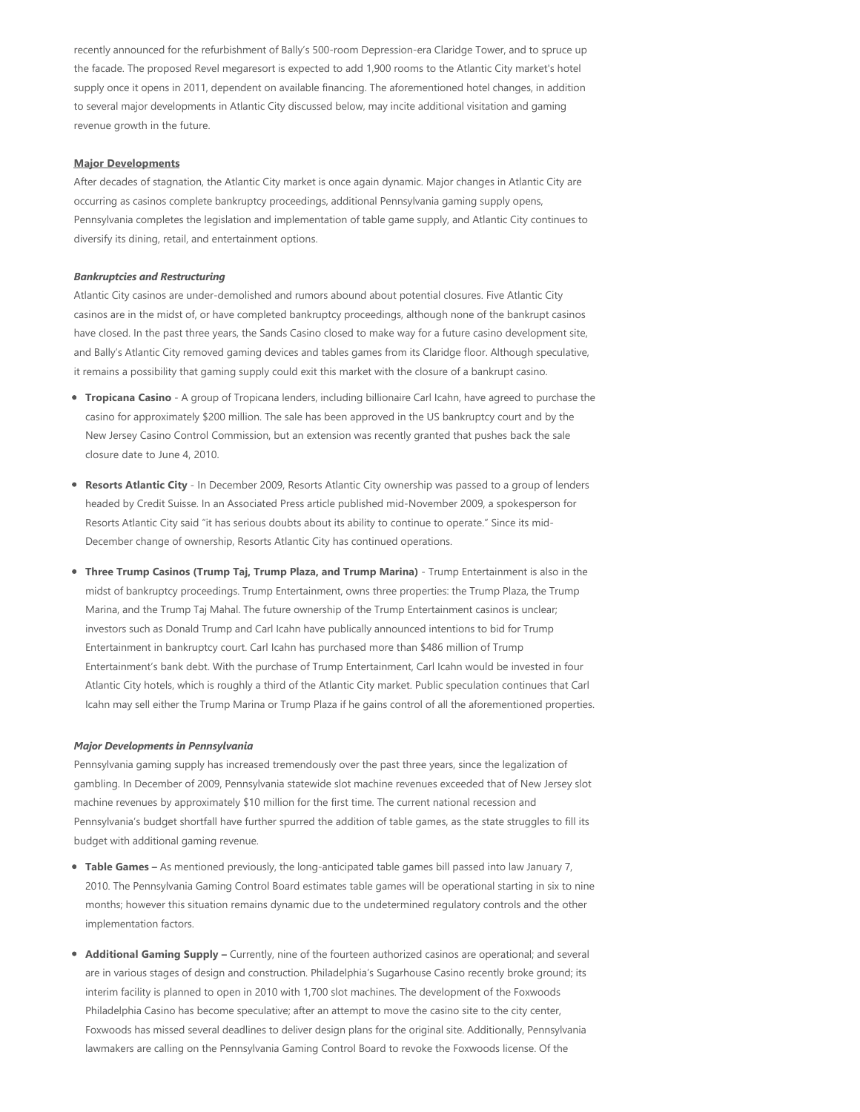recently announced for the refurbishment of Bally's 500‐room Depression‐era Claridge Tower, and to spruce up the facade. The proposed Revel megaresort is expected to add 1,900 rooms to the Atlantic City market's hotel supply once it opens in 2011, dependent on available financing. The aforementioned hotel changes, in addition to several major developments in Atlantic City discussed below, may incite additional visitation and gaming revenue growth in the future.

#### **Major Developments**

After decades of stagnation, the Atlantic City market is once again dynamic. Major changes in Atlantic City are occurring as casinos complete bankruptcy proceedings, additional Pennsylvania gaming supply opens, Pennsylvania completes the legislation and implementation of table game supply, and Atlantic City continues to diversify its dining, retail, and entertainment options.

#### *Bankruptcies and Restructuring*

Atlantic City casinos are under‐demolished and rumors abound about potential closures. Five Atlantic City casinos are in the midst of, or have completed bankruptcy proceedings, although none of the bankrupt casinos have closed. In the past three years, the Sands Casino closed to make way for a future casino development site, and Bally's Atlantic City removed gaming devices and tables games from its Claridge floor. Although speculative, it remains a possibility that gaming supply could exit this market with the closure of a bankrupt casino.

- **Tropicana Casino** ‐ A group of Tropicana lenders, including billionaire Carl Icahn, have agreed to purchase the casino for approximately \$200 million. The sale has been approved in the US bankruptcy court and by the New Jersey Casino Control Commission, but an extension was recently granted that pushes back the sale closure date to June 4, 2010.
- **Resorts Atlantic City** ‐ In December 2009, Resorts Atlantic City ownership was passed to a group of lenders  $\bullet$ headed by Credit Suisse. In an Associated Press article published mid‐November 2009, a spokesperson for Resorts Atlantic City said "it has serious doubts about its ability to continue to operate." Since its mid‐ December change of ownership, Resorts Atlantic City has continued operations.
- **Three Trump Casinos (Trump Taj, Trump Plaza, and Trump Marina) Trump Entertainment is also in the** midst of bankruptcy proceedings. Trump Entertainment, owns three properties: the Trump Plaza, the Trump Marina, and the Trump Taj Mahal. The future ownership of the Trump Entertainment casinos is unclear; investors such as Donald Trump and Carl Icahn have publically announced intentions to bid for Trump Entertainment in bankruptcy court. Carl Icahn has purchased more than \$486 million of Trump Entertainment's bank debt. With the purchase of Trump Entertainment, Carl Icahn would be invested in four Atlantic City hotels, which is roughly a third of the Atlantic City market. Public speculation continues that Carl Icahn may sell either the Trump Marina or Trump Plaza if he gains control of all the aforementioned properties.

#### *Major Developments in Pennsylvania*

Pennsylvania gaming supply has increased tremendously over the past three years, since the legalization of gambling. In December of 2009, Pennsylvania statewide slot machine revenues exceeded that of New Jersey slot machine revenues by approximately \$10 million for the first time. The current national recession and Pennsylvania's budget shortfall have further spurred the addition of table games, as the state struggles to fill its budget with additional gaming revenue.

- **Table Games** As mentioned previously, the long-anticipated table games bill passed into law January 7, 2010. The Pennsylvania Gaming Control Board estimates table games will be operational starting in six to nine months; however this situation remains dynamic due to the undetermined regulatory controls and the other implementation factors.
- **Additional Gaming Supply** Currently, nine of the fourteen authorized casinos are operational; and several are in various stages of design and construction. Philadelphia's Sugarhouse Casino recently broke ground; its interim facility is planned to open in 2010 with 1,700 slot machines. The development of the Foxwoods Philadelphia Casino has become speculative; after an attempt to move the casino site to the city center, Foxwoods has missed several deadlines to deliver design plans for the original site. Additionally, Pennsylvania lawmakers are calling on the Pennsylvania Gaming Control Board to revoke the Foxwoods license. Of the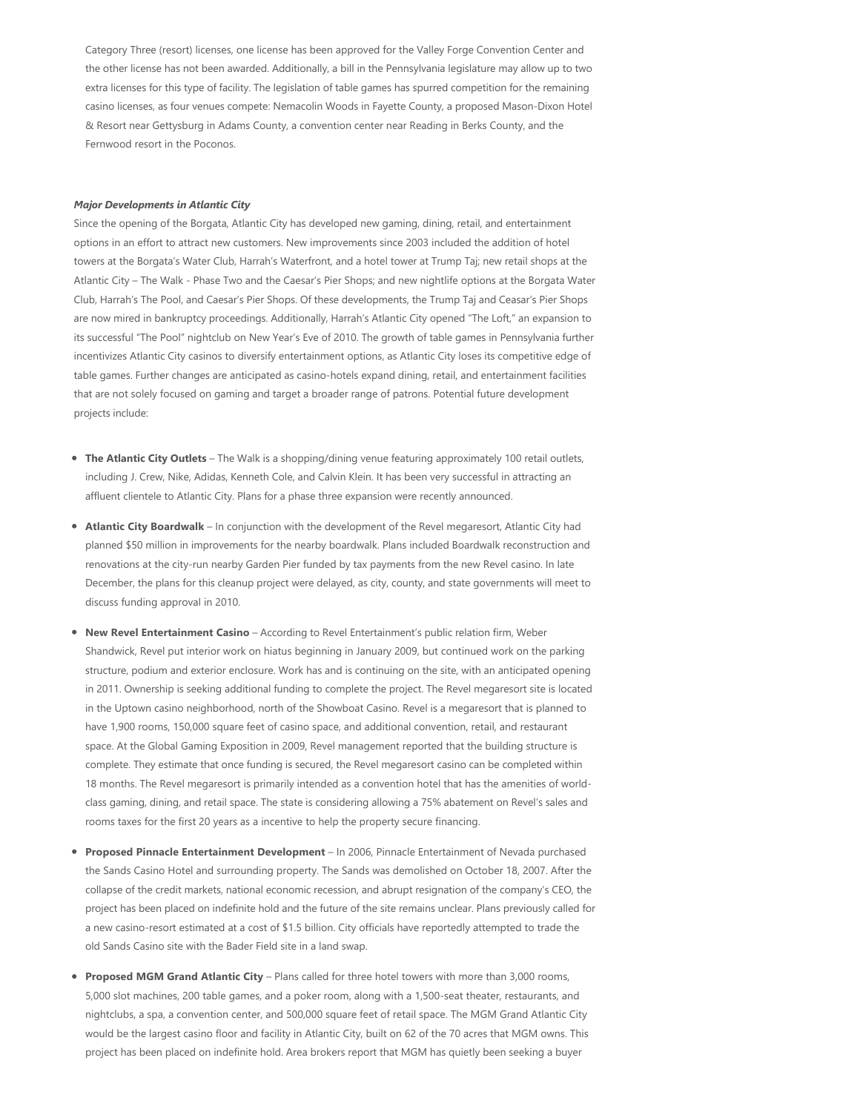Category Three (resort) licenses, one license has been approved for the Valley Forge Convention Center and the other license has not been awarded. Additionally, a bill in the Pennsylvania legislature may allow up to two extra licenses for this type of facility. The legislation of table games has spurred competition for the remaining casino licenses, as four venues compete: Nemacolin Woods in Fayette County, a proposed Mason‐Dixon Hotel & Resort near Gettysburg in Adams County, a convention center near Reading in Berks County, and the Fernwood resort in the Poconos.

#### *Major Developments in Atlantic City*

Since the opening of the Borgata, Atlantic City has developed new gaming, dining, retail, and entertainment options in an effort to attract new customers. New improvements since 2003 included the addition of hotel towers at the Borgata's Water Club, Harrah's Waterfront, and a hotel tower at Trump Taj; new retail shops at the Atlantic City – The Walk ‐ Phase Two and the Caesar's Pier Shops; and new nightlife options at the Borgata Water Club, Harrah's The Pool, and Caesar's Pier Shops. Of these developments, the Trump Taj and Ceasar's Pier Shops are now mired in bankruptcy proceedings. Additionally, Harrah's Atlantic City opened "The Loft," an expansion to its successful "The Pool" nightclub on New Year's Eve of 2010. The growth of table games in Pennsylvania further incentivizes Atlantic City casinos to diversify entertainment options, as Atlantic City loses its competitive edge of table games. Further changes are anticipated as casino‐hotels expand dining, retail, and entertainment facilities that are not solely focused on gaming and target a broader range of patrons. Potential future development projects include:

- **The Atlantic City Outlets**  The Walk is a shopping/dining venue featuring approximately 100 retail outlets, including J. Crew, Nike, Adidas, Kenneth Cole, and Calvin Klein. It has been very successful in attracting an affluent clientele to Atlantic City. Plans for a phase three expansion were recently announced.
- **Atlantic City Boardwalk**  In conjunction with the development of the Revel megaresort, Atlantic City had planned \$50 million in improvements for the nearby boardwalk. Plans included Boardwalk reconstruction and renovations at the city-run nearby Garden Pier funded by tax payments from the new Revel casino. In late December, the plans for this cleanup project were delayed, as city, county, and state governments will meet to discuss funding approval in 2010.
- **New Revel Entertainment Casino** According to Revel Entertainment's public relation firm, Weber  $\bullet$ Shandwick, Revel put interior work on hiatus beginning in January 2009, but continued work on the parking structure, podium and exterior enclosure. Work has and is continuing on the site, with an anticipated opening in 2011. Ownership is seeking additional funding to complete the project. The Revel megaresort site is located in the Uptown casino neighborhood, north of the Showboat Casino. Revel is a megaresort that is planned to have 1,900 rooms, 150,000 square feet of casino space, and additional convention, retail, and restaurant space. At the Global Gaming Exposition in 2009, Revel management reported that the building structure is complete. They estimate that once funding is secured, the Revel megaresort casino can be completed within 18 months. The Revel megaresort is primarily intended as a convention hotel that has the amenities of world‐ class gaming, dining, and retail space. The state is considering allowing a 75% abatement on Revel's sales and rooms taxes for the first 20 years as a incentive to help the property secure financing.
- **Proposed Pinnacle Entertainment Development**  In 2006, Pinnacle Entertainment of Nevada purchased the Sands Casino Hotel and surrounding property. The Sands was demolished on October 18, 2007. After the collapse of the credit markets, national economic recession, and abrupt resignation of the company's CEO, the project has been placed on indefinite hold and the future of the site remains unclear. Plans previously called for a new casino‐resort estimated at a cost of \$1.5 billion. City officials have reportedly attempted to trade the old Sands Casino site with the Bader Field site in a land swap.
- **Proposed MGM Grand Atlantic City** Plans called for three hotel towers with more than 3,000 rooms,  $\bullet$ 5,000 slot machines, 200 table games, and a poker room, along with a 1,500‐seat theater, restaurants, and nightclubs, a spa, a convention center, and 500,000 square feet of retail space. The MGM Grand Atlantic City would be the largest casino floor and facility in Atlantic City, built on 62 of the 70 acres that MGM owns. This project has been placed on indefinite hold. Area brokers report that MGM has quietly been seeking a buyer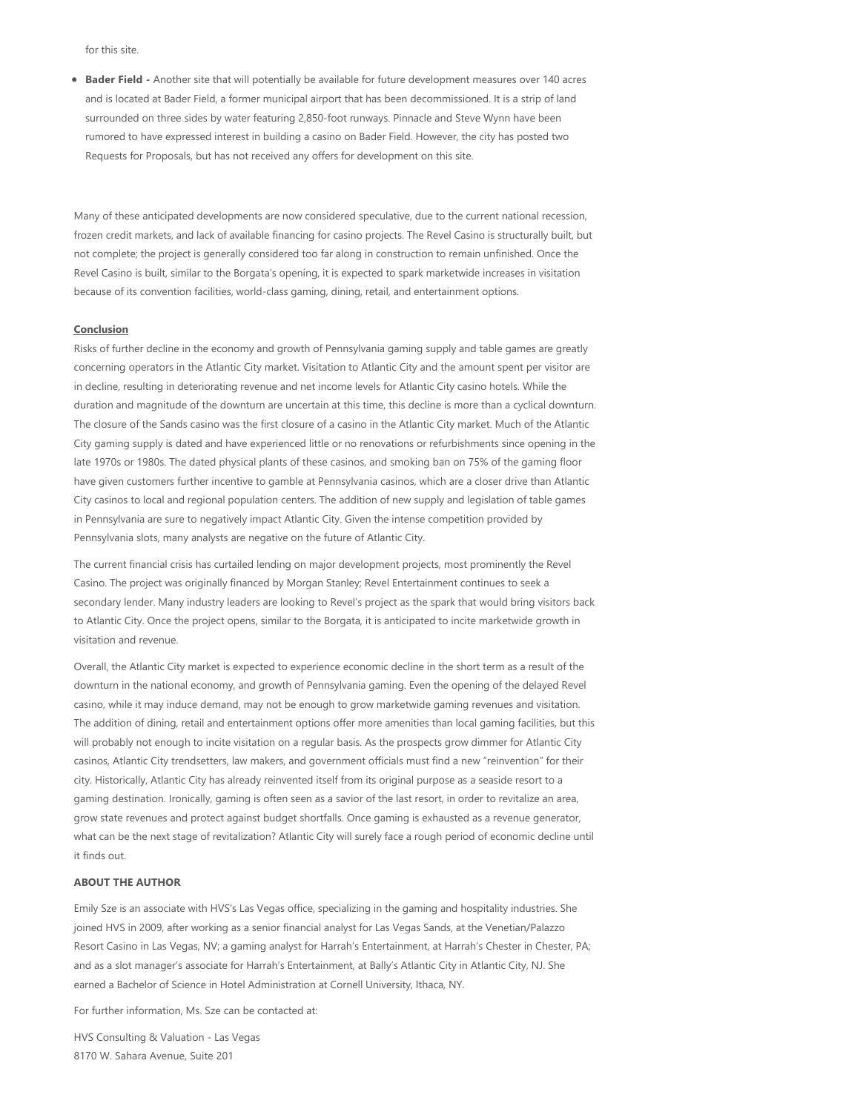for this site.

**Bader Field ‐** Another site that will potentially be available for future development measures over 140 acres and is located at Bader Field, a former municipal airport that has been decommissioned. It is a strip of land surrounded on three sides by water featuring 2,850-foot runways. Pinnacle and Steve Wynn have been rumored to have expressed interest in building a casino on Bader Field. However, the city has posted two Requests for Proposals, but has not received any offers for development on this site.

Many of these anticipated developments are now considered speculative, due to the current national recession, frozen credit markets, and lack of available financing for casino projects. The Revel Casino is structurally built, but not complete; the project is generally considered too far along in construction to remain unfinished. Once the Revel Casino is built, similar to the Borgata's opening, it is expected to spark marketwide increases in visitation because of its convention facilities, world‐class gaming, dining, retail, and entertainment options.

## **Conclusion**

Risks of further decline in the economy and growth of Pennsylvania gaming supply and table games are greatly concerning operators in the Atlantic City market. Visitation to Atlantic City and the amount spent per visitor are in decline, resulting in deteriorating revenue and net income levels for Atlantic City casino hotels. While the duration and magnitude of the downturn are uncertain at this time, this decline is more than a cyclical downturn. The closure of the Sands casino was the first closure of a casino in the Atlantic City market. Much of the Atlantic City gaming supply is dated and have experienced little or no renovations or refurbishments since opening in the late 1970s or 1980s. The dated physical plants of these casinos, and smoking ban on 75% of the gaming floor have given customers further incentive to gamble at Pennsylvania casinos, which are a closer drive than Atlantic City casinos to local and regional population centers. The addition of new supply and legislation of table games in Pennsylvania are sure to negatively impact Atlantic City. Given the intense competition provided by Pennsylvania slots, many analysts are negative on the future of Atlantic City.

The current financial crisis has curtailed lending on major development projects, most prominently the Revel Casino. The project was originally financed by Morgan Stanley; Revel Entertainment continues to seek a secondary lender. Many industry leaders are looking to Revel's project as the spark that would bring visitors back to Atlantic City. Once the project opens, similar to the Borgata, it is anticipated to incite marketwide growth in visitation and revenue.

Overall, the Atlantic City market is expected to experience economic decline in the short term as a result of the downturn in the national economy, and growth of Pennsylvania gaming. Even the opening of the delayed Revel casino, while it may induce demand, may not be enough to grow marketwide gaming revenues and visitation. The addition of dining, retail and entertainment options offer more amenities than local gaming facilities, but this will probably not enough to incite visitation on a regular basis. As the prospects grow dimmer for Atlantic City casinos, Atlantic City trendsetters, law makers, and government officials must find a new "reinvention" for their city. Historically, Atlantic City has already reinvented itself from its original purpose as a seaside resort to a gaming destination. Ironically, gaming is often seen as a savior of the last resort, in order to revitalize an area, grow state revenues and protect against budget shortfalls. Once gaming is exhausted as a revenue generator, what can be the next stage of revitalization? Atlantic City will surely face a rough period of economic decline until it finds out.

## **ABOUT THE AUTHOR**

Emily Sze is an associate with HVS's Las Vegas office, specializing in the gaming and hospitality industries. She joined HVS in 2009, after working as a senior financial analyst for Las Vegas Sands, at the Venetian/Palazzo Resort Casino in Las Vegas, NV; a gaming analyst for Harrah's Entertainment, at Harrah's Chester in Chester, PA; and as a slot manager's associate for Harrah's Entertainment, at Bally's Atlantic City in Atlantic City, NJ. She earned a Bachelor of Science in Hotel Administration at Cornell University, Ithaca, NY.

For further information, Ms. Sze can be contacted at:

HVS Consulting & Valuation ‐ Las Vegas 8170 W. Sahara Avenue, Suite 201